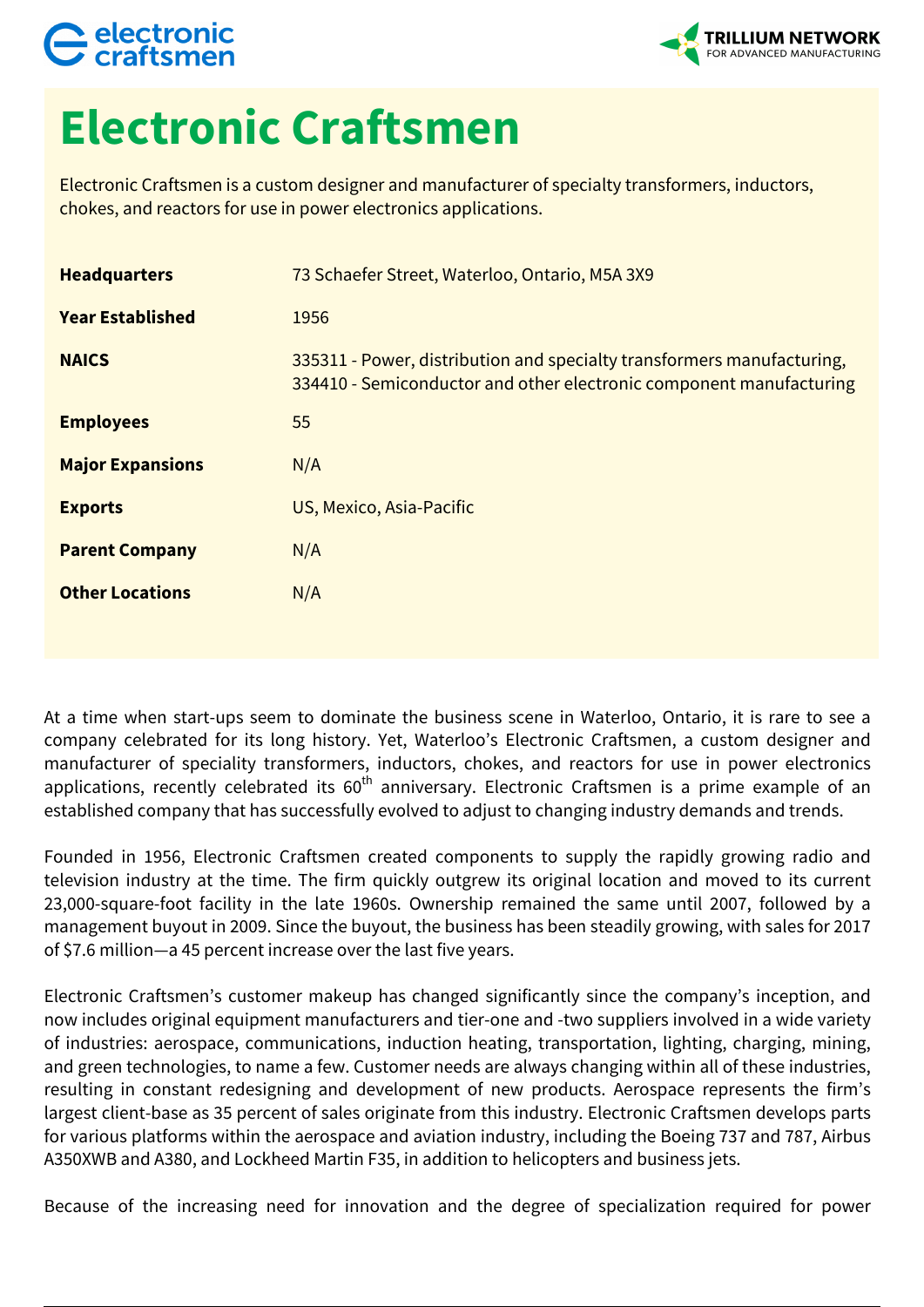## electronic



## **Electronic Craftsmen**

Electronic Craftsmen is a custom designer and manufacturer of specialty transformers, inductors, chokes, and reactors for use in power electronics applications.

| <b>Headquarters</b>     | 73 Schaefer Street, Waterloo, Ontario, M5A 3X9                                                                                                |
|-------------------------|-----------------------------------------------------------------------------------------------------------------------------------------------|
| <b>Year Established</b> | 1956                                                                                                                                          |
| <b>NAICS</b>            | 335311 - Power, distribution and specialty transformers manufacturing,<br>334410 - Semiconductor and other electronic component manufacturing |
| <b>Employees</b>        | 55                                                                                                                                            |
| <b>Major Expansions</b> | N/A                                                                                                                                           |
| <b>Exports</b>          | US, Mexico, Asia-Pacific                                                                                                                      |
| <b>Parent Company</b>   | N/A                                                                                                                                           |
| <b>Other Locations</b>  | N/A                                                                                                                                           |
|                         |                                                                                                                                               |

At a time when start-ups seem to dominate the business scene in Waterloo, Ontario, it is rare to see a company celebrated for its long history. Yet, Waterloo's Electronic Craftsmen, a custom designer and manufacturer of speciality transformers, inductors, chokes, and reactors for use in power electronics applications, recently celebrated its 60<sup>th</sup> anniversary. Electronic Craftsmen is a prime example of an established company that has successfully evolved to adjust to changing industry demands and trends.

Founded in 1956, Electronic Craftsmen created components to supply the rapidly growing radio and television industry at the time. The firm quickly outgrew its original location and moved to its current 23,000-square-foot facility in the late 1960s. Ownership remained the same until 2007, followed by a management buyout in 2009. Since the buyout, the business has been steadily growing, with sales for 2017 of \$7.6 million—a 45 percent increase over the last five years.

Electronic Craftsmen's customer makeup has changed significantly since the company's inception, and now includes original equipment manufacturers and tier-one and -two suppliers involved in a wide variety of industries: aerospace, communications, induction heating, transportation, lighting, charging, mining, and green technologies, to name a few. Customer needs are always changing within all of these industries, resulting in constant redesigning and development of new products. Aerospace represents the firm's largest client-base as 35 percent of sales originate from this industry. Electronic Craftsmen develops parts for various platforms within the aerospace and aviation industry, including the Boeing 737 and 787, Airbus A350XWB and A380, and Lockheed Martin F35, in addition to helicopters and business jets.

Because of the increasing need for innovation and the degree of specialization required for power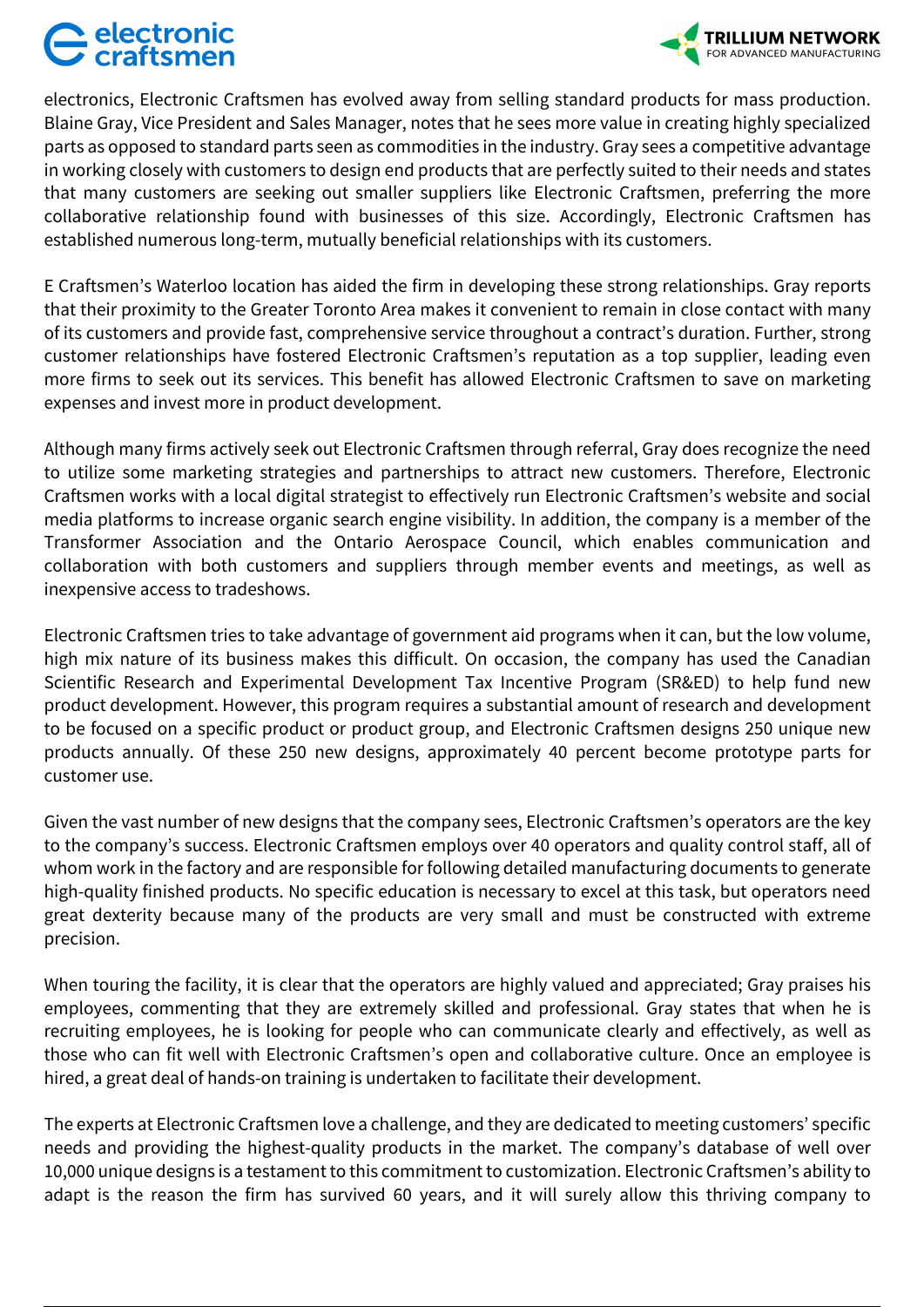## electronic



electronics, Electronic Craftsmen has evolved away from selling standard products for mass production. Blaine Gray, Vice President and Sales Manager, notes that he sees more value in creating highly specialized parts as opposed to standard parts seen as commodities in the industry. Gray sees a competitive advantage in working closely with customers to design end products that are perfectly suited to their needs and states that many customers are seeking out smaller suppliers like Electronic Craftsmen, preferring the more collaborative relationship found with businesses of this size. Accordingly, Electronic Craftsmen has established numerous long-term, mutually beneficial relationships with its customers.

E Craftsmen's Waterloo location has aided the firm in developing these strong relationships. Gray reports that their proximity to the Greater Toronto Area makes it convenient to remain in close contact with many of its customers and provide fast, comprehensive service throughout a contract's duration. Further, strong customer relationships have fostered Electronic Craftsmen's reputation as a top supplier, leading even more firms to seek out its services. This benefit has allowed Electronic Craftsmen to save on marketing expenses and invest more in product development.

Although many firms actively seek out Electronic Craftsmen through referral, Gray does recognize the need to utilize some marketing strategies and partnerships to attract new customers. Therefore, Electronic Craftsmen works with a local digital strategist to effectively run Electronic Craftsmen's website and social media platforms to increase organic search engine visibility. In addition, the company is a member of the Transformer Association and the Ontario Aerospace Council, which enables communication and collaboration with both customers and suppliers through member events and meetings, as well as inexpensive access to tradeshows.

Electronic Craftsmen tries to take advantage of government aid programs when it can, but the low volume, high mix nature of its business makes this difficult. On occasion, the company has used the Canadian Scientific Research and Experimental Development Tax Incentive Program (SR&ED) to help fund new product development. However, this program requires a substantial amount of research and development to be focused on a specific product or product group, and Electronic Craftsmen designs 250 unique new products annually. Of these 250 new designs, approximately 40 percent become prototype parts for customer use.

Given the vast number of new designs that the company sees, Electronic Craftsmen's operators are the key to the company's success. Electronic Craftsmen employs over 40 operators and quality control staff, all of whom work in the factory and are responsible for following detailed manufacturing documents to generate high-quality finished products. No specific education is necessary to excel at this task, but operators need great dexterity because many of the products are very small and must be constructed with extreme precision.

When touring the facility, it is clear that the operators are highly valued and appreciated; Gray praises his employees, commenting that they are extremely skilled and professional. Gray states that when he is recruiting employees, he is looking for people who can communicate clearly and effectively, as well as those who can fit well with Electronic Craftsmen's open and collaborative culture. Once an employee is hired, a great deal of hands-on training is undertaken to facilitate their development.

The experts at Electronic Craftsmen love a challenge, and they are dedicated to meeting customers' specific needs and providing the highest-quality products in the market. The company's database of well over 10,000 unique designs is a testament to this commitment to customization. Electronic Craftsmen's ability to adapt is the reason the firm has survived 60 years, and it will surely allow this thriving company to